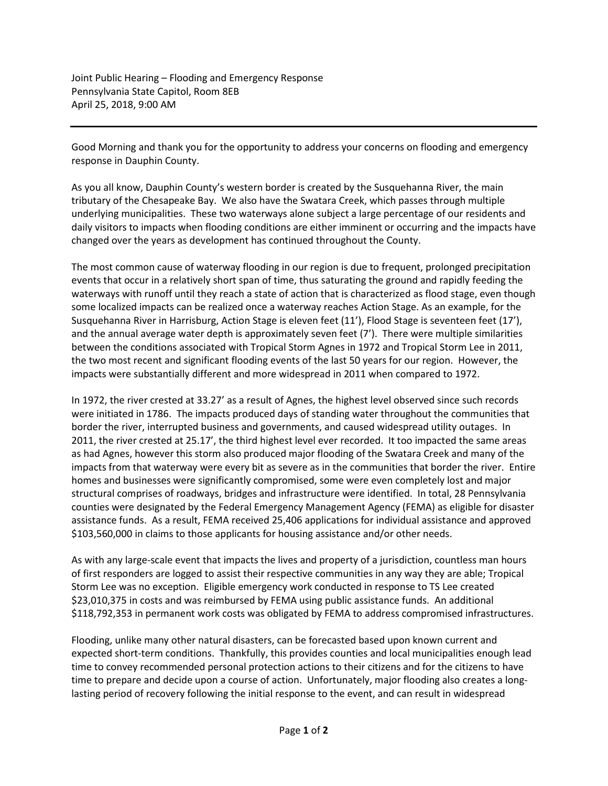Joint Public Hearing – Flooding and Emergency Response Pennsylvania State Capitol, Room 8EB April 25, 2018, 9:00 AM

Good Morning and thank you for the opportunity to address your concerns on flooding and emergency response in Dauphin County.

As you all know, Dauphin County's western border is created by the Susquehanna River, the main tributary of the Chesapeake Bay. We also have the Swatara Creek, which passes through multiple underlying municipalities. These two waterways alone subject a large percentage of our residents and daily visitors to impacts when flooding conditions are either imminent or occurring and the impacts have changed over the years as development has continued throughout the County.

The most common cause of waterway flooding in our region is due to frequent, prolonged precipitation events that occur in a relatively short span of time, thus saturating the ground and rapidly feeding the waterways with runoff until they reach a state of action that is characterized as flood stage, even though some localized impacts can be realized once a waterway reaches Action Stage. As an example, for the Susquehanna River in Harrisburg, Action Stage is eleven feet (11'), Flood Stage is seventeen feet (17'), and the annual average water depth is approximately seven feet (7'). There were multiple similarities between the conditions associated with Tropical Storm Agnes in 1972 and Tropical Storm Lee in 2011, the two most recent and significant flooding events of the last 50 years for our region. However, the impacts were substantially different and more widespread in 2011 when compared to 1972.

In 1972, the river crested at 33.27' as a result of Agnes, the highest level observed since such records were initiated in 1786. The impacts produced days of standing water throughout the communities that border the river, interrupted business and governments, and caused widespread utility outages. In 2011, the river crested at 25.17', the third highest level ever recorded. It too impacted the same areas as had Agnes, however this storm also produced major flooding of the Swatara Creek and many of the impacts from that waterway were every bit as severe as in the communities that border the river. Entire homes and businesses were significantly compromised, some were even completely lost and major structural comprises of roadways, bridges and infrastructure were identified. In total, 28 Pennsylvania counties were designated by the Federal Emergency Management Agency (FEMA) as eligible for disaster assistance funds. As a result, FEMA received 25,406 applications for individual assistance and approved \$103,560,000 in claims to those applicants for housing assistance and/or other needs.

As with any large-scale event that impacts the lives and property of a jurisdiction, countless man hours of first responders are logged to assist their respective communities in any way they are able; Tropical Storm Lee was no exception. Eligible emergency work conducted in response to TS Lee created \$23,010,375 in costs and was reimbursed by FEMA using public assistance funds. An additional \$118,792,353 in permanent work costs was obligated by FEMA to address compromised infrastructures.

Flooding, unlike many other natural disasters, can be forecasted based upon known current and expected short-term conditions. Thankfully, this provides counties and local municipalities enough lead time to convey recommended personal protection actions to their citizens and for the citizens to have time to prepare and decide upon a course of action. Unfortunately, major flooding also creates a longlasting period of recovery following the initial response to the event, and can result in widespread